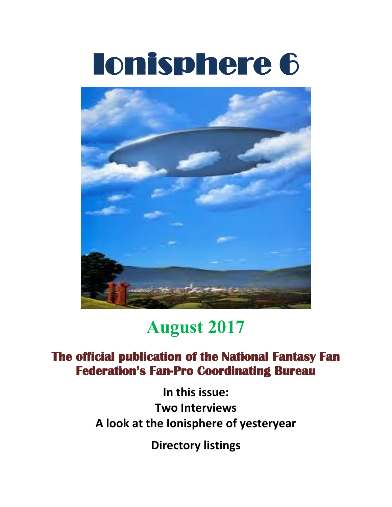# Ionisphere 6



# **August 2017**

### **The official publication of the National Fantasy Fan Federation's Fan-Pro Coordinating Bureau**

**In this issue: Two Interviews A look at the Ionisphere of yesteryear**

**Directory listings**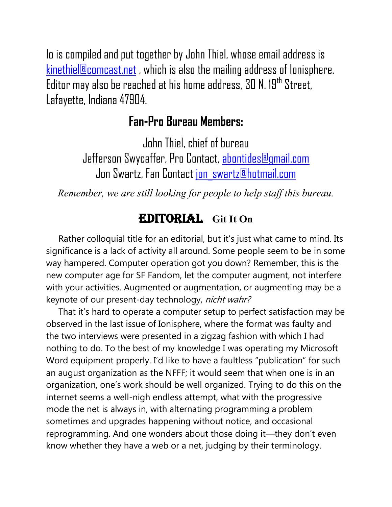Io is compiled and put together by John Thiel, whose email address is [kinethiel@comcast.net](mailto:kinethiel@comcast.net) , which is also the mailing address of Ionisphere. Editor may also be reached at his home address, 30 N. 19<sup>th</sup> Street, Lafayette, Indiana 47904.

#### **Fan-Pro Bureau Members:**

John Thiel, chief of bureau Jefferson Swycaffer, Pro Contact, [abontides@gmail.com](mailto:abontides@gmail.com) Jon Swartz, Fan Contact [jon\\_swartz@hotmail.com](mailto:jon_swartz@hotmail.com)

*Remember, we are still looking for people to help staff this bureau.*

#### Editorial **Git It On**

Rather colloquial title for an editorial, but it's just what came to mind. Its significance is a lack of activity all around. Some people seem to be in some way hampered. Computer operation got you down? Remember, this is the new computer age for SF Fandom, let the computer augment, not interfere with your activities. Augmented or augmentation, or augmenting may be a keynote of our present-day technology, nicht wahr?

 That it's hard to operate a computer setup to perfect satisfaction may be observed in the last issue of Ionisphere, where the format was faulty and the two interviews were presented in a zigzag fashion with which I had nothing to do. To the best of my knowledge I was operating my Microsoft Word equipment properly. I'd like to have a faultless "publication" for such an august organization as the NFFF; it would seem that when one is in an organization, one's work should be well organized. Trying to do this on the internet seems a well-nigh endless attempt, what with the progressive mode the net is always in, with alternating programming a problem sometimes and upgrades happening without notice, and occasional reprogramming. And one wonders about those doing it—they don't even know whether they have a web or a net, judging by their terminology.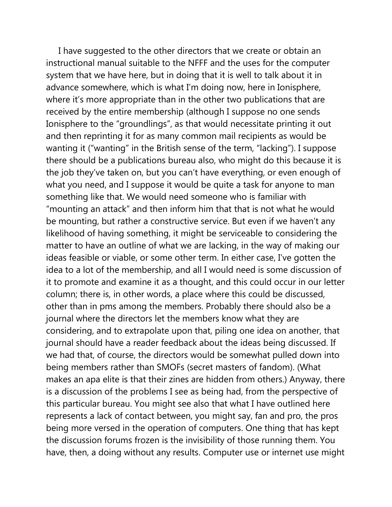I have suggested to the other directors that we create or obtain an instructional manual suitable to the NFFF and the uses for the computer system that we have here, but in doing that it is well to talk about it in advance somewhere, which is what I'm doing now, here in Ionisphere, where it's more appropriate than in the other two publications that are received by the entire membership (although I suppose no one sends Ionisphere to the "groundlings", as that would necessitate printing it out and then reprinting it for as many common mail recipients as would be wanting it ("wanting" in the British sense of the term, "lacking"). I suppose there should be a publications bureau also, who might do this because it is the job they've taken on, but you can't have everything, or even enough of what you need, and I suppose it would be quite a task for anyone to man something like that. We would need someone who is familiar with "mounting an attack" and then inform him that that is not what he would be mounting, but rather a constructive service. But even if we haven't any likelihood of having something, it might be serviceable to considering the matter to have an outline of what we are lacking, in the way of making our ideas feasible or viable, or some other term. In either case, I've gotten the idea to a lot of the membership, and all I would need is some discussion of it to promote and examine it as a thought, and this could occur in our letter column; there is, in other words, a place where this could be discussed, other than in pms among the members. Probably there should also be a journal where the directors let the members know what they are considering, and to extrapolate upon that, piling one idea on another, that journal should have a reader feedback about the ideas being discussed. If we had that, of course, the directors would be somewhat pulled down into being members rather than SMOFs (secret masters of fandom). (What makes an apa elite is that their zines are hidden from others.) Anyway, there is a discussion of the problems I see as being had, from the perspective of this particular bureau. You might see also that what I have outlined here represents a lack of contact between, you might say, fan and pro, the pros being more versed in the operation of computers. One thing that has kept the discussion forums frozen is the invisibility of those running them. You have, then, a doing without any results. Computer use or internet use might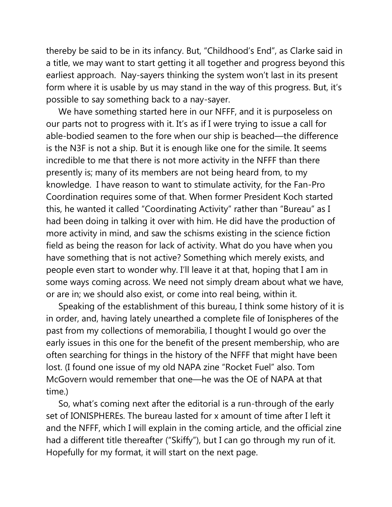thereby be said to be in its infancy. But, "Childhood's End", as Clarke said in a title, we may want to start getting it all together and progress beyond this earliest approach. Nay-sayers thinking the system won't last in its present form where it is usable by us may stand in the way of this progress. But, it's possible to say something back to a nay-sayer.

 We have something started here in our NFFF, and it is purposeless on our parts not to progress with it. It's as if I were trying to issue a call for able-bodied seamen to the fore when our ship is beached—the difference is the N3F is not a ship. But it is enough like one for the simile. It seems incredible to me that there is not more activity in the NFFF than there presently is; many of its members are not being heard from, to my knowledge. I have reason to want to stimulate activity, for the Fan-Pro Coordination requires some of that. When former President Koch started this, he wanted it called "Coordinating Activity" rather than "Bureau" as I had been doing in talking it over with him. He did have the production of more activity in mind, and saw the schisms existing in the science fiction field as being the reason for lack of activity. What do you have when you have something that is not active? Something which merely exists, and people even start to wonder why. I'll leave it at that, hoping that I am in some ways coming across. We need not simply dream about what we have, or are in; we should also exist, or come into real being, within it.

 Speaking of the establishment of this bureau, I think some history of it is in order, and, having lately unearthed a complete file of Ionispheres of the past from my collections of memorabilia, I thought I would go over the early issues in this one for the benefit of the present membership, who are often searching for things in the history of the NFFF that might have been lost. (I found one issue of my old NAPA zine "Rocket Fuel" also. Tom McGovern would remember that one—he was the OE of NAPA at that time.)

 So, what's coming next after the editorial is a run-through of the early set of IONISPHEREs. The bureau lasted for x amount of time after I left it and the NFFF, which I will explain in the coming article, and the official zine had a different title thereafter ("Skiffy"), but I can go through my run of it. Hopefully for my format, it will start on the next page.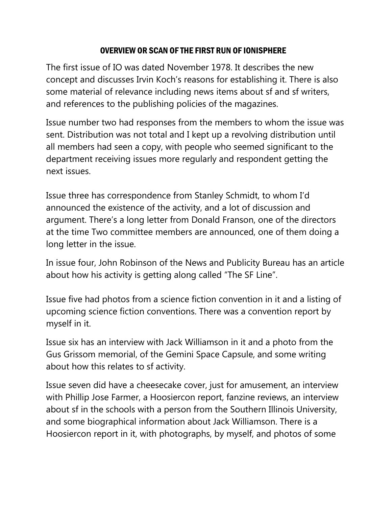#### OVERVIEW OR SCAN OF THE FIRST RUN OF IONISPHERE

The first issue of IO was dated November 1978. It describes the new concept and discusses Irvin Koch's reasons for establishing it. There is also some material of relevance including news items about sf and sf writers, and references to the publishing policies of the magazines.

Issue number two had responses from the members to whom the issue was sent. Distribution was not total and I kept up a revolving distribution until all members had seen a copy, with people who seemed significant to the department receiving issues more regularly and respondent getting the next issues.

Issue three has correspondence from Stanley Schmidt, to whom I'd announced the existence of the activity, and a lot of discussion and argument. There's a long letter from Donald Franson, one of the directors at the time Two committee members are announced, one of them doing a long letter in the issue.

In issue four, John Robinson of the News and Publicity Bureau has an article about how his activity is getting along called "The SF Line".

Issue five had photos from a science fiction convention in it and a listing of upcoming science fiction conventions. There was a convention report by myself in it.

Issue six has an interview with Jack Williamson in it and a photo from the Gus Grissom memorial, of the Gemini Space Capsule, and some writing about how this relates to sf activity.

Issue seven did have a cheesecake cover, just for amusement, an interview with Phillip Jose Farmer, a Hoosiercon report, fanzine reviews, an interview about sf in the schools with a person from the Southern Illinois University, and some biographical information about Jack Williamson. There is a Hoosiercon report in it, with photographs, by myself, and photos of some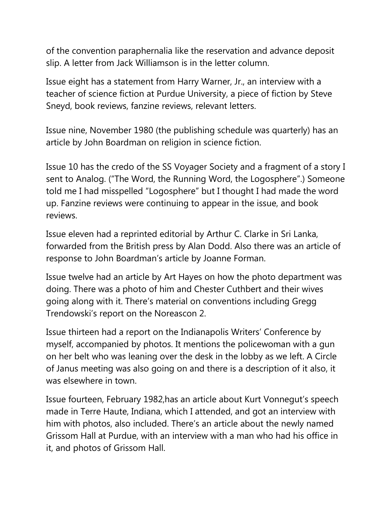of the convention paraphernalia like the reservation and advance deposit slip. A letter from Jack Williamson is in the letter column.

Issue eight has a statement from Harry Warner, Jr., an interview with a teacher of science fiction at Purdue University, a piece of fiction by Steve Sneyd, book reviews, fanzine reviews, relevant letters.

Issue nine, November 1980 (the publishing schedule was quarterly) has an article by John Boardman on religion in science fiction.

Issue 10 has the credo of the SS Voyager Society and a fragment of a story I sent to Analog. ("The Word, the Running Word, the Logosphere".) Someone told me I had misspelled "Logosphere" but I thought I had made the word up. Fanzine reviews were continuing to appear in the issue, and book reviews.

Issue eleven had a reprinted editorial by Arthur C. Clarke in Sri Lanka, forwarded from the British press by Alan Dodd. Also there was an article of response to John Boardman's article by Joanne Forman.

Issue twelve had an article by Art Hayes on how the photo department was doing. There was a photo of him and Chester Cuthbert and their wives going along with it. There's material on conventions including Gregg Trendowski's report on the Noreascon 2.

Issue thirteen had a report on the Indianapolis Writers' Conference by myself, accompanied by photos. It mentions the policewoman with a gun on her belt who was leaning over the desk in the lobby as we left. A Circle of Janus meeting was also going on and there is a description of it also, it was elsewhere in town.

Issue fourteen, February 1982,has an article about Kurt Vonnegut's speech made in Terre Haute, Indiana, which I attended, and got an interview with him with photos, also included. There's an article about the newly named Grissom Hall at Purdue, with an interview with a man who had his office in it, and photos of Grissom Hall.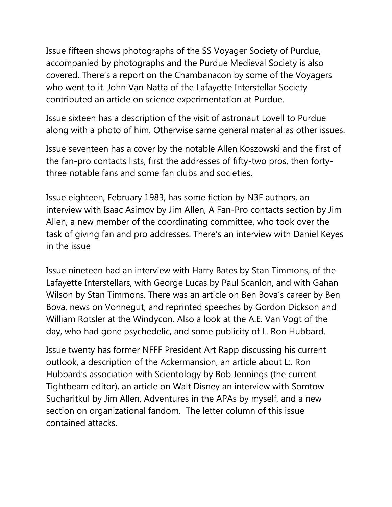Issue fifteen shows photographs of the SS Voyager Society of Purdue, accompanied by photographs and the Purdue Medieval Society is also covered. There's a report on the Chambanacon by some of the Voyagers who went to it. John Van Natta of the Lafayette Interstellar Society contributed an article on science experimentation at Purdue.

Issue sixteen has a description of the visit of astronaut Lovell to Purdue along with a photo of him. Otherwise same general material as other issues.

Issue seventeen has a cover by the notable Allen Koszowski and the first of the fan-pro contacts lists, first the addresses of fifty-two pros, then fortythree notable fans and some fan clubs and societies.

Issue eighteen, February 1983, has some fiction by N3F authors, an interview with Isaac Asimov by Jim Allen, A Fan-Pro contacts section by Jim Allen, a new member of the coordinating committee, who took over the task of giving fan and pro addresses. There's an interview with Daniel Keyes in the issue

Issue nineteen had an interview with Harry Bates by Stan Timmons, of the Lafayette Interstellars, with George Lucas by Paul Scanlon, and with Gahan Wilson by Stan Timmons. There was an article on Ben Bova's career by Ben Bova, news on Vonnegut, and reprinted speeches by Gordon Dickson and William Rotsler at the Windycon. Also a look at the A.E. Van Vogt of the day, who had gone psychedelic, and some publicity of L. Ron Hubbard.

Issue twenty has former NFFF President Art Rapp discussing his current outlook, a description of the Ackermansion, an article about L:. Ron Hubbard's association with Scientology by Bob Jennings (the current Tightbeam editor), an article on Walt Disney an interview with Somtow Sucharitkul by Jim Allen, Adventures in the APAs by myself, and a new section on organizational fandom. The letter column of this issue contained attacks.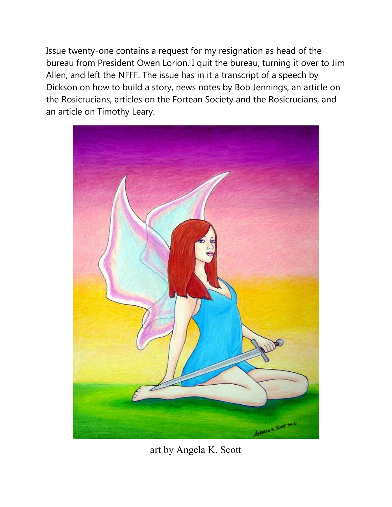Issue twenty-one contains a request for my resignation as head of the bureau from President Owen Lorion. I quit the bureau, turning it over to Jim Allen, and left the NFFF. The issue has in it a transcript of a speech by Dickson on how to build a story, news notes by Bob Jennings, an article on the Rosicrucians, articles on the Fortean Society and the Rosicrucians, and an article on Timothy Leary.



art by Angela K. Scott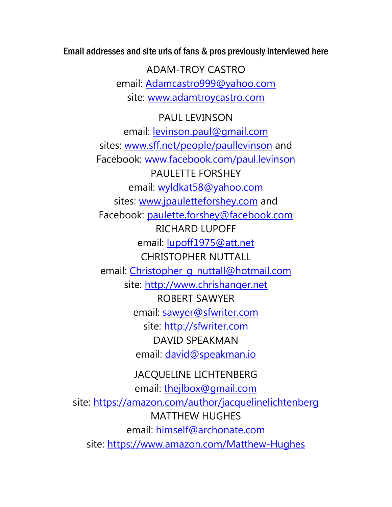Email addresses and site urls of fans & pros previously interviewed here

ADAM-TROY CASTRO email: [Adamcastro999@yahoo.com](mailto:Adamcastro999@yahoo.com) site: [www.adamtroycastro.com](http://www.adamtroycastro.com/)

PAUL LEVINSON email: [levinson.paul@gmail.com](mailto:levinson.paul@gmail.com) sites: [www.sff.net/people/paullevinson](http://www.sff.net/people/paullevinson) and Facebook: [www.facebook.com/paul.levinson](http://www.facebook.com/paul.levinson) PAULETTE FORSHEY email: [wyldkat58@yahoo.com](mailto:wyldkat58@yahoo.com) sites: [www.jpauletteforshey.com](http://www.jpauletteforshey.com/) and Facebook: [paulette.forshey@facebook.com](mailto:paulette.forshey@facebook.com) RICHARD LUPOFF email: [lupoff1975@att.net](mailto:lupoff1975@att.net) CHRISTOPHER NUTTALL email: [Christopher\\_g\\_nuttall@hotmail.com](mailto:Christopher_g_nuttall@hotmail.com) site: [http://www.chrishanger.net](http://www.chrishanger.net/) ROBERT SAWYER email: [sawyer@sfwriter.com](mailto:sawyer@sfwriter.com) site: [http://sfwriter.com](http://sfwriter.com/) DAVID SPEAKMAN email: [david@speakman.io](mailto:david@speakman.io)

JACQUELINE LICHTENBERG email: [thejlbox@gmail.com](mailto:thejlbox@gmail.com) site:<https://amazon.com/author/jacquelinelichtenberg> MATTHEW HUGHES email: [himself@archonate.com](mailto:himself@archonate.com) site:<https://www.amazon.com/Matthew-Hughes>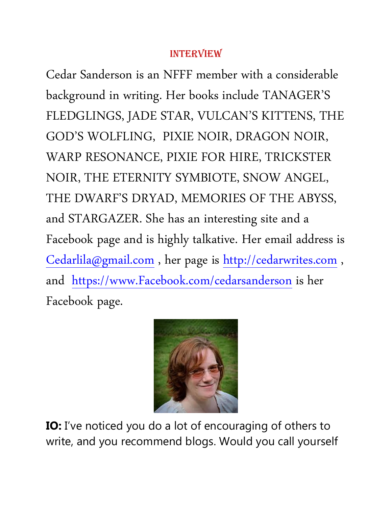#### INTERVIEW

Cedar Sanderson is an NFFF member with a considerable background in writing. Her books include TANAGER'S FLEDGLINGS, JADE STAR, VULCAN'S KITTENS, THE GOD'S WOLFLING, PIXIE NOIR, DRAGON NOIR, WARP RESONANCE, PIXIE FOR HIRE, TRICKSTER NOIR, THE ETERNITY SYMBIOTE, SNOW ANGEL, THE DWARF'S DRYAD, MEMORIES OF THE ABYSS, and STARGAZER. She has an interesting site and a Facebook page and is highly talkative. Her email address is [Cedarlila@gmail.com](mailto:Cedarlila@gmail.com) , her page is [http://cedarwrites.com](http://cedarwrites.com/) , and [https://www.Facebook.com/cedarsanderson](https://www.facebook.com/cedarsanderson) is her Facebook page.



**IO:** I've noticed you do a lot of encouraging of others to write, and you recommend blogs. Would you call yourself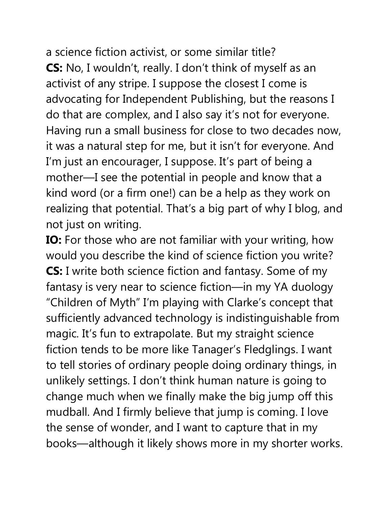a science fiction activist, or some similar title? **CS:** No, I wouldn't, really. I don't think of myself as an activist of any stripe. I suppose the closest I come is advocating for Independent Publishing, but the reasons I do that are complex, and I also say it's not for everyone. Having run a small business for close to two decades now, it was a natural step for me, but it isn't for everyone. And I'm just an encourager, I suppose. It's part of being a mother—I see the potential in people and know that a kind word (or a firm one!) can be a help as they work on realizing that potential. That's a big part of why I blog, and not just on writing.

**IO:** For those who are not familiar with your writing, how would you describe the kind of science fiction you write? **CS:** I write both science fiction and fantasy. Some of my fantasy is very near to science fiction—in my YA duology "Children of Myth" I'm playing with Clarke's concept that sufficiently advanced technology is indistinguishable from magic. It's fun to extrapolate. But my straight science fiction tends to be more like Tanager's Fledglings. I want to tell stories of ordinary people doing ordinary things, in unlikely settings. I don't think human nature is going to change much when we finally make the big jump off this mudball. And I firmly believe that jump is coming. I love the sense of wonder, and I want to capture that in my books—although it likely shows more in my shorter works.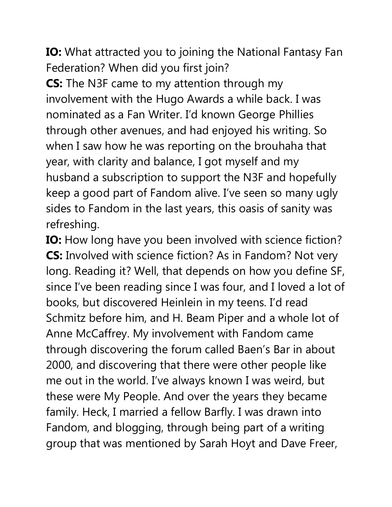**IO:** What attracted you to joining the National Fantasy Fan Federation? When did you first join?

**CS:** The N3F came to my attention through my involvement with the Hugo Awards a while back. I was nominated as a Fan Writer. I'd known George Phillies through other avenues, and had enjoyed his writing. So when I saw how he was reporting on the brouhaha that year, with clarity and balance, I got myself and my husband a subscription to support the N3F and hopefully keep a good part of Fandom alive. I've seen so many ugly sides to Fandom in the last years, this oasis of sanity was refreshing.

**IO:** How long have you been involved with science fiction? **CS:** Involved with science fiction? As in Fandom? Not very long. Reading it? Well, that depends on how you define SF, since I've been reading since I was four, and I loved a lot of books, but discovered Heinlein in my teens. I'd read Schmitz before him, and H. Beam Piper and a whole lot of Anne McCaffrey. My involvement with Fandom came through discovering the forum called Baen's Bar in about 2000, and discovering that there were other people like me out in the world. I've always known I was weird, but these were My People. And over the years they became family. Heck, I married a fellow Barfly. I was drawn into Fandom, and blogging, through being part of a writing group that was mentioned by Sarah Hoyt and Dave Freer,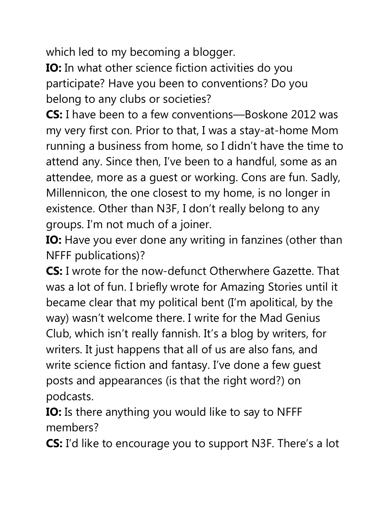which led to my becoming a blogger.

**IO:** In what other science fiction activities do you participate? Have you been to conventions? Do you belong to any clubs or societies?

**CS:** I have been to a few conventions—Boskone 2012 was my very first con. Prior to that, I was a stay-at-home Mom running a business from home, so I didn't have the time to attend any. Since then, I've been to a handful, some as an attendee, more as a guest or working. Cons are fun. Sadly, Millennicon, the one closest to my home, is no longer in existence. Other than N3F, I don't really belong to any groups. I'm not much of a joiner.

**IO:** Have you ever done any writing in fanzines (other than NFFF publications)?

**CS:** I wrote for the now-defunct Otherwhere Gazette. That was a lot of fun. I briefly wrote for Amazing Stories until it became clear that my political bent (I'm apolitical, by the way) wasn't welcome there. I write for the Mad Genius Club, which isn't really fannish. It's a blog by writers, for writers. It just happens that all of us are also fans, and write science fiction and fantasy. I've done a few guest posts and appearances (is that the right word?) on podcasts.

**IO:** Is there anything you would like to say to NFFF members?

**CS:** I'd like to encourage you to support N3F. There's a lot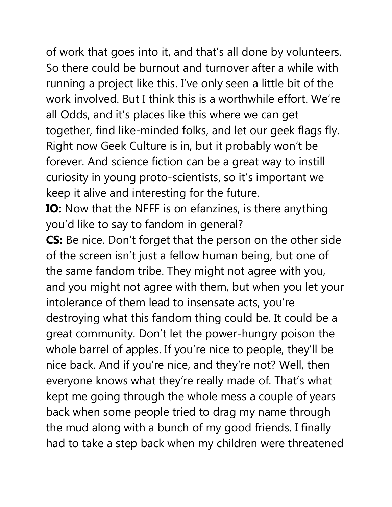of work that goes into it, and that's all done by volunteers. So there could be burnout and turnover after a while with running a project like this. I've only seen a little bit of the work involved. But I think this is a worthwhile effort. We're all Odds, and it's places like this where we can get together, find like-minded folks, and let our geek flags fly. Right now Geek Culture is in, but it probably won't be forever. And science fiction can be a great way to instill curiosity in young proto-scientists, so it's important we keep it alive and interesting for the future.

**IO:** Now that the NFFF is on efanzines, is there anything you'd like to say to fandom in general?

**CS:** Be nice. Don't forget that the person on the other side of the screen isn't just a fellow human being, but one of the same fandom tribe. They might not agree with you, and you might not agree with them, but when you let your intolerance of them lead to insensate acts, you're destroying what this fandom thing could be. It could be a great community. Don't let the power-hungry poison the whole barrel of apples. If you're nice to people, they'll be nice back. And if you're nice, and they're not? Well, then everyone knows what they're really made of. That's what kept me going through the whole mess a couple of years back when some people tried to drag my name through the mud along with a bunch of my good friends. I finally had to take a step back when my children were threatened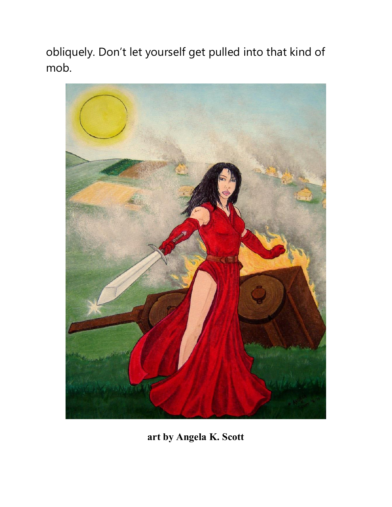obliquely. Don't let yourself get pulled into that kind of mob.



**art by Angela K. Scott**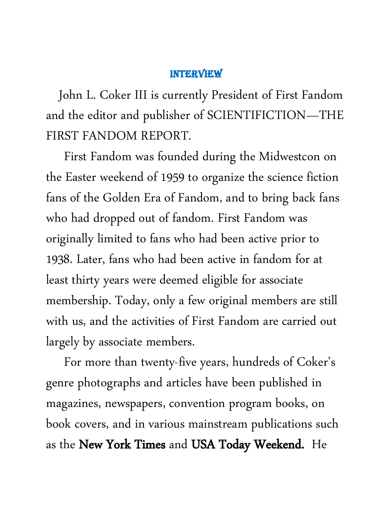#### INTERVIEW

 John L. Coker III is currently President of First Fandom and the editor and publisher of SCIENTIFICTION—THE FIRST FANDOM REPORT.

 First Fandom was founded during the Midwestcon on the Easter weekend of 1959 to organize the science fiction fans of the Golden Era of Fandom, and to bring back fans who had dropped out of fandom. First Fandom was originally limited to fans who had been active prior to 1938. Later, fans who had been active in fandom for at least thirty years were deemed eligible for associate membership. Today, only a few original members are still with us, and the activities of First Fandom are carried out largely by associate members.

 For more than twenty-five years, hundreds of Coker's genre photographs and articles have been published in magazines, newspapers, convention program books, on book covers, and in various mainstream publications such as the New York Times and USA Today Weekend. He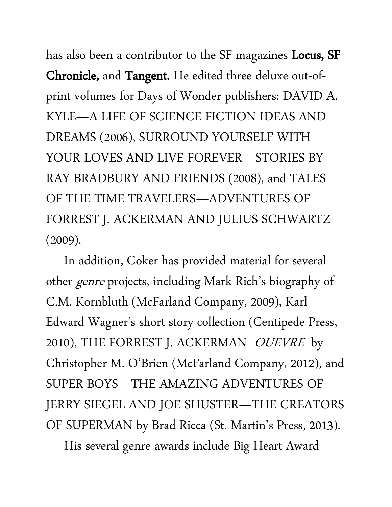has also been a contributor to the SF magazines **Locus, SF** Chronicle, and Tangent. He edited three deluxe out-ofprint volumes for Days of Wonder publishers: DAVID A. KYLE—A LIFE OF SCIENCE FICTION IDEAS AND DREAMS (2006), SURROUND YOURSELF WITH YOUR LOVES AND LIVE FOREVER—STORIES BY RAY BRADBURY AND FRIENDS (2008), and TALES OF THE TIME TRAVELERS—ADVENTURES OF FORREST J. ACKERMAN AND JULIUS SCHWARTZ (2009).

 In addition, Coker has provided material for several other *genre* projects, including Mark Rich's biography of C.M. Kornbluth (McFarland Company, 2009), Karl Edward Wagner's short story collection (Centipede Press, 2010), THE FORREST J. ACKERMAN OUEVRE by Christopher M. O'Brien (McFarland Company, 2012), and SUPER BOYS—THE AMAZING ADVENTURES OF JERRY SIEGEL AND JOE SHUSTER—THE CREATORS OF SUPERMAN by Brad Ricca (St. Martin's Press, 2013).

His several genre awards include Big Heart Award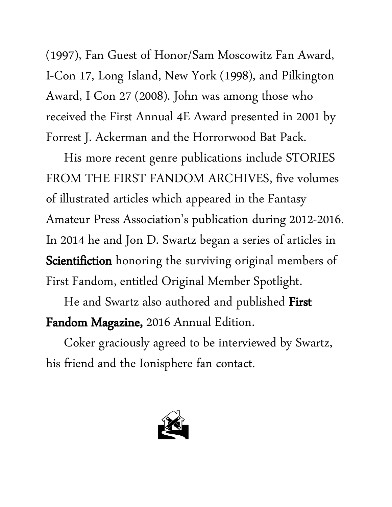(1997), Fan Guest of Honor/Sam Moscowitz Fan Award, I-Con 17, Long Island, New York (1998), and Pilkington Award, I-Con 27 (2008). John was among those who received the First Annual 4E Award presented in 2001 by Forrest J. Ackerman and the Horrorwood Bat Pack.

 His more recent genre publications include STORIES FROM THE FIRST FANDOM ARCHIVES, five volumes of illustrated articles which appeared in the Fantasy Amateur Press Association's publication during 2012-2016. In 2014 he and Jon D. Swartz began a series of articles in Scientifiction honoring the surviving original members of First Fandom, entitled Original Member Spotlight.

He and Swartz also authored and published First Fandom Magazine, 2016 Annual Edition.

 Coker graciously agreed to be interviewed by Swartz, his friend and the Ionisphere fan contact.

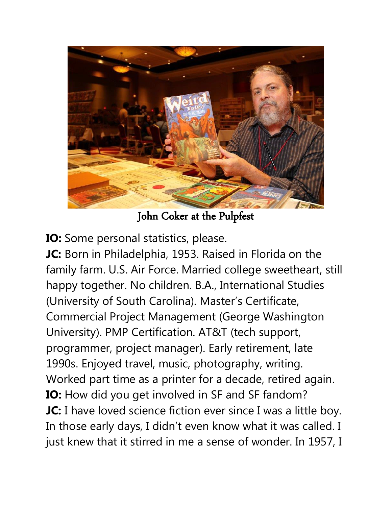

John Coker at the Pulpfest

**IO:** Some personal statistics, please.

**JC:** Born in Philadelphia, 1953. Raised in Florida on the family farm. U.S. Air Force. Married college sweetheart, still happy together. No children. B.A., International Studies (University of South Carolina). Master's Certificate, Commercial Project Management (George Washington University). PMP Certification. AT&T (tech support, programmer, project manager). Early retirement, late 1990s. Enjoyed travel, music, photography, writing. Worked part time as a printer for a decade, retired again. **IO:** How did you get involved in SF and SF fandom? **JC:** I have loved science fiction ever since I was a little boy. In those early days, I didn't even know what it was called. I just knew that it stirred in me a sense of wonder. In 1957, I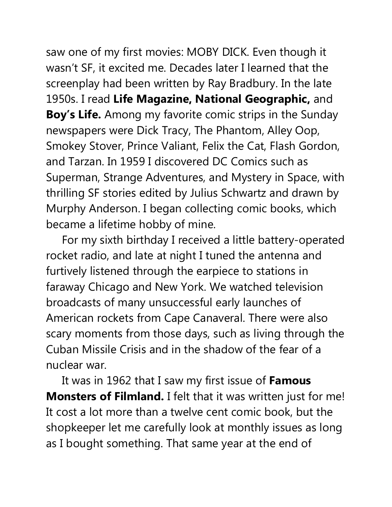saw one of my first movies: MOBY DICK. Even though it wasn't SF, it excited me. Decades later I learned that the screenplay had been written by Ray Bradbury. In the late 1950s. I read **Life Magazine, National Geographic,** and **Boy's Life.** Among my favorite comic strips in the Sunday newspapers were Dick Tracy, The Phantom, Alley Oop, Smokey Stover, Prince Valiant, Felix the Cat, Flash Gordon, and Tarzan. In 1959 I discovered DC Comics such as Superman, Strange Adventures, and Mystery in Space, with thrilling SF stories edited by Julius Schwartz and drawn by Murphy Anderson. I began collecting comic books, which became a lifetime hobby of mine.

 For my sixth birthday I received a little battery-operated rocket radio, and late at night I tuned the antenna and furtively listened through the earpiece to stations in faraway Chicago and New York. We watched television broadcasts of many unsuccessful early launches of American rockets from Cape Canaveral. There were also scary moments from those days, such as living through the Cuban Missile Crisis and in the shadow of the fear of a nuclear war.

 It was in 1962 that I saw my first issue of **Famous Monsters of Filmland.** I felt that it was written just for me! It cost a lot more than a twelve cent comic book, but the shopkeeper let me carefully look at monthly issues as long as I bought something. That same year at the end of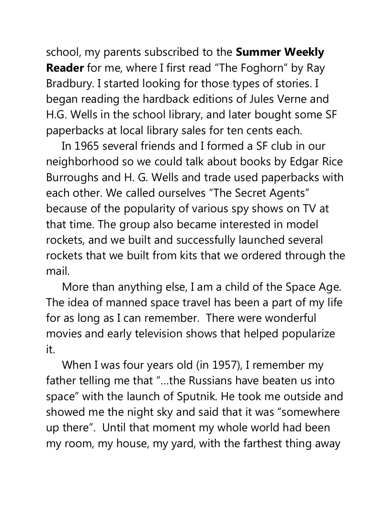school, my parents subscribed to the **Summer Weekly Reader** for me, where I first read "The Foghorn" by Ray Bradbury. I started looking for those types of stories. I began reading the hardback editions of Jules Verne and H.G. Wells in the school library, and later bought some SF paperbacks at local library sales for ten cents each.

 In 1965 several friends and I formed a SF club in our neighborhood so we could talk about books by Edgar Rice Burroughs and H. G. Wells and trade used paperbacks with each other. We called ourselves "The Secret Agents" because of the popularity of various spy shows on TV at that time. The group also became interested in model rockets, and we built and successfully launched several rockets that we built from kits that we ordered through the mail.

 More than anything else, I am a child of the Space Age. The idea of manned space travel has been a part of my life for as long as I can remember. There were wonderful movies and early television shows that helped popularize it.

 When I was four years old (in 1957), I remember my father telling me that "…the Russians have beaten us into space" with the launch of Sputnik. He took me outside and showed me the night sky and said that it was "somewhere up there". Until that moment my whole world had been my room, my house, my yard, with the farthest thing away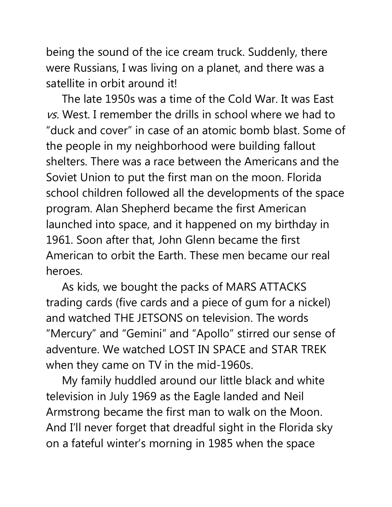being the sound of the ice cream truck. Suddenly, there were Russians, I was living on a planet, and there was a satellite in orbit around it!

 The late 1950s was a time of the Cold War. It was East vs. West. I remember the drills in school where we had to "duck and cover" in case of an atomic bomb blast. Some of the people in my neighborhood were building fallout shelters. There was a race between the Americans and the Soviet Union to put the first man on the moon. Florida school children followed all the developments of the space program. Alan Shepherd became the first American launched into space, and it happened on my birthday in 1961. Soon after that, John Glenn became the first American to orbit the Earth. These men became our real heroes.

 As kids, we bought the packs of MARS ATTACKS trading cards (five cards and a piece of gum for a nickel) and watched THE JETSONS on television. The words "Mercury" and "Gemini" and "Apollo" stirred our sense of adventure. We watched LOST IN SPACE and STAR TREK when they came on TV in the mid-1960s.

 My family huddled around our little black and white television in July 1969 as the Eagle landed and Neil Armstrong became the first man to walk on the Moon. And I'll never forget that dreadful sight in the Florida sky on a fateful winter's morning in 1985 when the space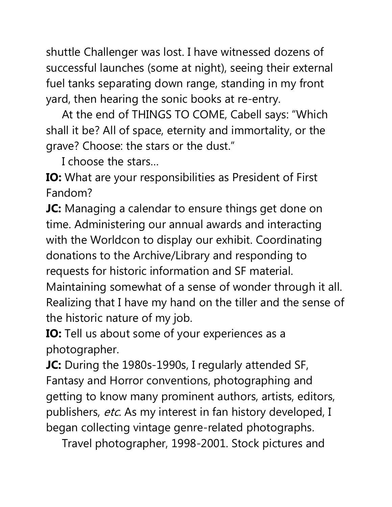shuttle Challenger was lost. I have witnessed dozens of successful launches (some at night), seeing their external fuel tanks separating down range, standing in my front yard, then hearing the sonic books at re-entry.

 At the end of THINGS TO COME, Cabell says: "Which shall it be? All of space, eternity and immortality, or the grave? Choose: the stars or the dust."

I choose the stars…

**IO:** What are your responsibilities as President of First Fandom?

**JC:** Managing a calendar to ensure things get done on time. Administering our annual awards and interacting with the Worldcon to display our exhibit. Coordinating donations to the Archive/Library and responding to requests for historic information and SF material.

Maintaining somewhat of a sense of wonder through it all. Realizing that I have my hand on the tiller and the sense of the historic nature of my job.

**IO:** Tell us about some of your experiences as a photographer.

**JC:** During the 1980s-1990s, I regularly attended SF, Fantasy and Horror conventions, photographing and getting to know many prominent authors, artists, editors, publishers, etc. As my interest in fan history developed, I began collecting vintage genre-related photographs.

Travel photographer, 1998-2001. Stock pictures and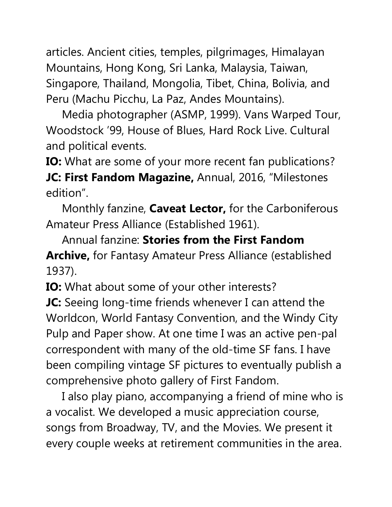articles. Ancient cities, temples, pilgrimages, Himalayan Mountains, Hong Kong, Sri Lanka, Malaysia, Taiwan, Singapore, Thailand, Mongolia, Tibet, China, Bolivia, and Peru (Machu Picchu, La Paz, Andes Mountains).

 Media photographer (ASMP, 1999). Vans Warped Tour, Woodstock '99, House of Blues, Hard Rock Live. Cultural and political events.

**IO:** What are some of your more recent fan publications?

**JC: First Fandom Magazine,** Annual, 2016, "Milestones edition".

 Monthly fanzine, **Caveat Lector,** for the Carboniferous Amateur Press Alliance (Established 1961).

 Annual fanzine: **Stories from the First Fandom Archive,** for Fantasy Amateur Press Alliance (established 1937).

**IO:** What about some of your other interests? **JC:** Seeing long-time friends whenever I can attend the Worldcon, World Fantasy Convention, and the Windy City Pulp and Paper show. At one time I was an active pen-pal correspondent with many of the old-time SF fans. I have been compiling vintage SF pictures to eventually publish a comprehensive photo gallery of First Fandom.

 I also play piano, accompanying a friend of mine who is a vocalist. We developed a music appreciation course, songs from Broadway, TV, and the Movies. We present it every couple weeks at retirement communities in the area.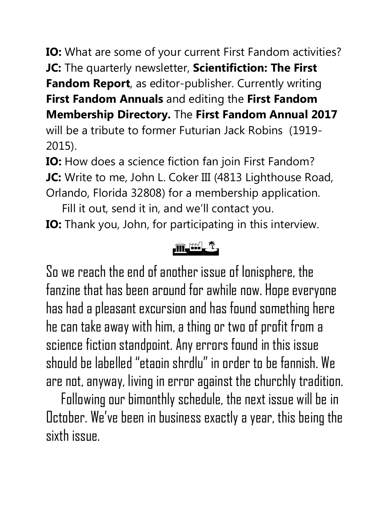**IO:** What are some of your current First Fandom activities? **JC:** The quarterly newsletter, **Scientifiction: The First Fandom Report**, as editor-publisher. Currently writing

**First Fandom Annuals** and editing the **First Fandom** 

**Membership Directory.** The **First Fandom Annual 2017** 

will be a tribute to former Futurian Jack Robins (1919- 2015).

**IO:** How does a science fiction fan join First Fandom? **JC:** Write to me, John L. Coker III (4813 Lighthouse Road, Orlando, Florida 32808) for a membership application.

 Fill it out, send it in, and we'll contact you. **IO:** Thank you, John, for participating in this interview.

## The set of the set of the set of the set of the set of the set of the set of the set of the set of the set of the set of the set of the set of the set of the set of the set of the set of the set of the set of the set of th

So we reach the end of another issue of Ionisphere, the fanzine that has been around for awhile now. Hope everyone has had a pleasant excursion and has found something here he can take away with him, a thing or two of profit from a science fiction standpoint. Any errors found in this issue should be labelled "etaoin shrdlu" in order to be fannish. We are not, anyway, living in error against the churchly tradition.

 Following our bimonthly schedule, the next issue will be in October. We've been in business exactly a year, this being the sixth issue.